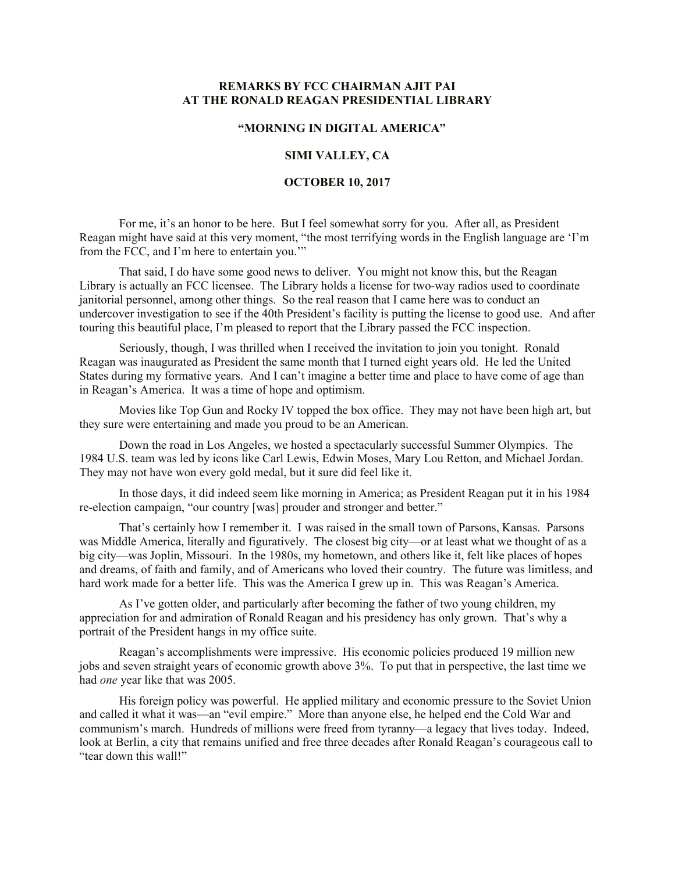## **REMARKS BY FCC CHAIRMAN AJIT PAI AT THE RONALD REAGAN PRESIDENTIAL LIBRARY**

### **"MORNING IN DIGITAL AMERICA"**

#### **SIMI VALLEY, CA**

#### **OCTOBER 10, 2017**

For me, it's an honor to be here. But I feel somewhat sorry for you. After all, as President Reagan might have said at this very moment, "the most terrifying words in the English language are 'I'm from the FCC, and I'm here to entertain you.'"

That said, I do have some good news to deliver. You might not know this, but the Reagan Library is actually an FCC licensee. The Library holds a license for two-way radios used to coordinate janitorial personnel, among other things. So the real reason that I came here was to conduct an undercover investigation to see if the 40th President's facility is putting the license to good use. And after touring this beautiful place, I'm pleased to report that the Library passed the FCC inspection.

Seriously, though, I was thrilled when I received the invitation to join you tonight. Ronald Reagan was inaugurated as President the same month that I turned eight years old. He led the United States during my formative years. And I can't imagine a better time and place to have come of age than in Reagan's America. It was a time of hope and optimism.

Movies like Top Gun and Rocky IV topped the box office. They may not have been high art, but they sure were entertaining and made you proud to be an American.

Down the road in Los Angeles, we hosted a spectacularly successful Summer Olympics. The 1984 U.S. team was led by icons like Carl Lewis, Edwin Moses, Mary Lou Retton, and Michael Jordan. They may not have won every gold medal, but it sure did feel like it.

In those days, it did indeed seem like morning in America; as President Reagan put it in his 1984 re-election campaign, "our country [was] prouder and stronger and better."

That's certainly how I remember it. I was raised in the small town of Parsons, Kansas. Parsons was Middle America, literally and figuratively. The closest big city—or at least what we thought of as a big city—was Joplin, Missouri. In the 1980s, my hometown, and others like it, felt like places of hopes and dreams, of faith and family, and of Americans who loved their country. The future was limitless, and hard work made for a better life. This was the America I grew up in. This was Reagan's America.

As I've gotten older, and particularly after becoming the father of two young children, my appreciation for and admiration of Ronald Reagan and his presidency has only grown. That's why a portrait of the President hangs in my office suite.

Reagan's accomplishments were impressive. His economic policies produced 19 million new jobs and seven straight years of economic growth above 3%. To put that in perspective, the last time we had *one* year like that was 2005.

His foreign policy was powerful. He applied military and economic pressure to the Soviet Union and called it what it was—an "evil empire." More than anyone else, he helped end the Cold War and communism's march. Hundreds of millions were freed from tyranny—a legacy that lives today. Indeed, look at Berlin, a city that remains unified and free three decades after Ronald Reagan's courageous call to "tear down this wall!"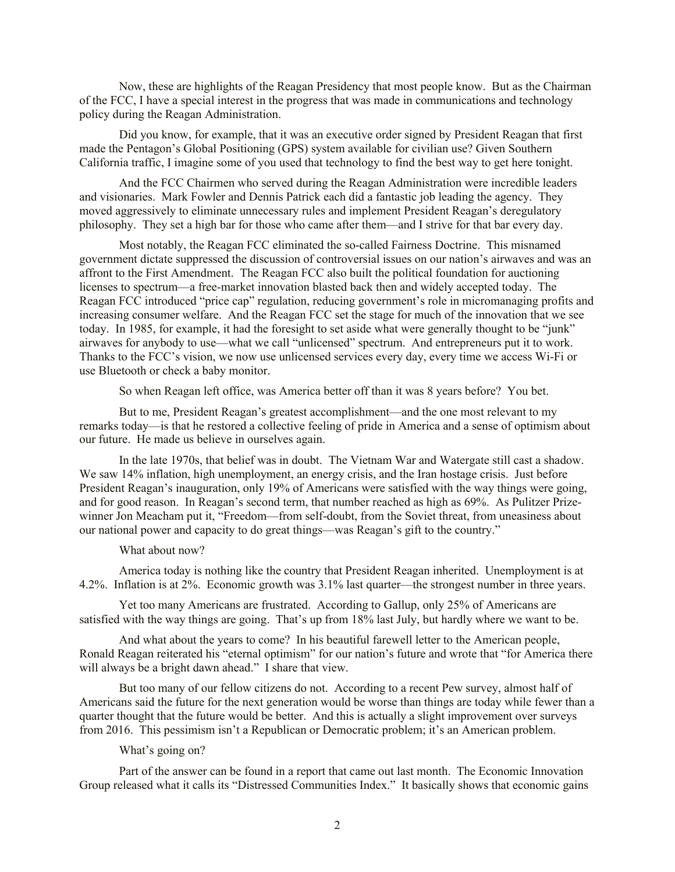Now, these are highlights of the Reagan Presidency that most people know. But as the Chairman of the FCC, I have a special interest in the progress that was made in communications and technology policy during the Reagan Administration.

Did you know, for example, that it was an executive order signed by President Reagan that first made the Pentagon's Global Positioning (GPS) system available for civilian use? Given Southern California traffic, I imagine some of you used that technology to find the best way to get here tonight.

And the FCC Chairmen who served during the Reagan Administration were incredible leaders and visionaries. Mark Fowler and Dennis Patrick each did a fantastic job leading the agency. They moved aggressively to eliminate unnecessary rules and implement President Reagan's deregulatory philosophy. They set a high bar for those who came after them—and I strive for that bar every day.

Most notably, the Reagan FCC eliminated the so-called Fairness Doctrine. This misnamed government dictate suppressed the discussion of controversial issues on our nation's airwaves and was an affront to the First Amendment. The Reagan FCC also built the political foundation for auctioning licenses to spectrum—a free-market innovation blasted back then and widely accepted today. The Reagan FCC introduced "price cap" regulation, reducing government's role in micromanaging profits and increasing consumer welfare. And the Reagan FCC set the stage for much of the innovation that we see today. In 1985, for example, it had the foresight to set aside what were generally thought to be "junk" airwaves for anybody to use—what we call "unlicensed" spectrum. And entrepreneurs put it to work. Thanks to the FCC's vision, we now use unlicensed services every day, every time we access Wi-Fi or use Bluetooth or check a baby monitor.

So when Reagan left office, was America better off than it was 8 years before? You bet.

But to me, President Reagan's greatest accomplishment—and the one most relevant to my remarks today—is that he restored a collective feeling of pride in America and a sense of optimism about our future. He made us believe in ourselves again.

In the late 1970s, that belief was in doubt. The Vietnam War and Watergate still cast a shadow. We saw 14% inflation, high unemployment, an energy crisis, and the Iran hostage crisis. Just before President Reagan's inauguration, only 19% of Americans were satisfied with the way things were going, and for good reason. In Reagan's second term, that number reached as high as 69%. As Pulitzer Prizewinner Jon Meacham put it, "Freedom—from self-doubt, from the Soviet threat, from uneasiness about our national power and capacity to do great things—was Reagan's gift to the country."

#### What about now?

America today is nothing like the country that President Reagan inherited. Unemployment is at 4.2%. Inflation is at 2%. Economic growth was 3.1% last quarter—the strongest number in three years.

Yet too many Americans are frustrated. According to Gallup, only 25% of Americans are satisfied with the way things are going. That's up from 18% last July, but hardly where we want to be.

And what about the years to come? In his beautiful farewell letter to the American people, Ronald Reagan reiterated his "eternal optimism" for our nation's future and wrote that "for America there will always be a bright dawn ahead." I share that view.

But too many of our fellow citizens do not. According to a recent Pew survey, almost half of Americans said the future for the next generation would be worse than things are today while fewer than a quarter thought that the future would be better. And this is actually a slight improvement over surveys from 2016. This pessimism isn't a Republican or Democratic problem; it's an American problem.

# What's going on?

Part of the answer can be found in a report that came out last month. The Economic Innovation Group released what it calls its "Distressed Communities Index." It basically shows that economic gains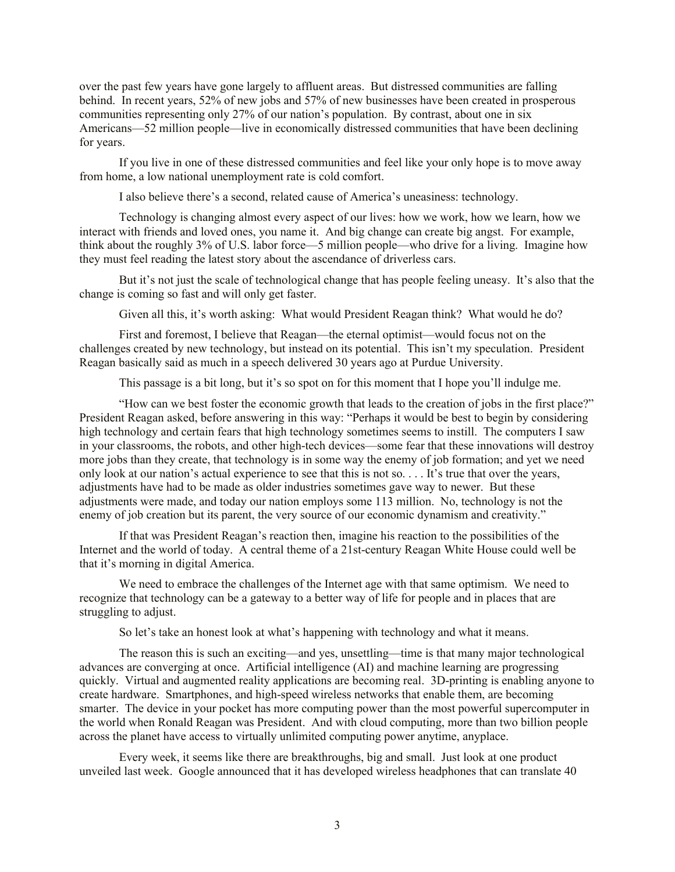over the past few years have gone largely to affluent areas. But distressed communities are falling behind. In recent years, 52% of new jobs and 57% of new businesses have been created in prosperous communities representing only 27% of our nation's population. By contrast, about one in six Americans—52 million people—live in economically distressed communities that have been declining for years.

If you live in one of these distressed communities and feel like your only hope is to move away from home, a low national unemployment rate is cold comfort.

I also believe there's a second, related cause of America's uneasiness: technology.

Technology is changing almost every aspect of our lives: how we work, how we learn, how we interact with friends and loved ones, you name it. And big change can create big angst. For example, think about the roughly 3% of U.S. labor force—5 million people—who drive for a living. Imagine how they must feel reading the latest story about the ascendance of driverless cars.

But it's not just the scale of technological change that has people feeling uneasy. It's also that the change is coming so fast and will only get faster.

Given all this, it's worth asking: What would President Reagan think? What would he do?

First and foremost, I believe that Reagan—the eternal optimist—would focus not on the challenges created by new technology, but instead on its potential. This isn't my speculation. President Reagan basically said as much in a speech delivered 30 years ago at Purdue University.

This passage is a bit long, but it's so spot on for this moment that I hope you'll indulge me.

"How can we best foster the economic growth that leads to the creation of jobs in the first place?" President Reagan asked, before answering in this way: "Perhaps it would be best to begin by considering high technology and certain fears that high technology sometimes seems to instill. The computers I saw in your classrooms, the robots, and other high-tech devices—some fear that these innovations will destroy more jobs than they create, that technology is in some way the enemy of job formation; and yet we need only look at our nation's actual experience to see that this is not so. . . . It's true that over the years, adjustments have had to be made as older industries sometimes gave way to newer. But these adjustments were made, and today our nation employs some 113 million. No, technology is not the enemy of job creation but its parent, the very source of our economic dynamism and creativity."

If that was President Reagan's reaction then, imagine his reaction to the possibilities of the Internet and the world of today. A central theme of a 21st-century Reagan White House could well be that it's morning in digital America.

We need to embrace the challenges of the Internet age with that same optimism. We need to recognize that technology can be a gateway to a better way of life for people and in places that are struggling to adjust.

So let's take an honest look at what's happening with technology and what it means.

The reason this is such an exciting—and yes, unsettling—time is that many major technological advances are converging at once. Artificial intelligence (AI) and machine learning are progressing quickly. Virtual and augmented reality applications are becoming real. 3D-printing is enabling anyone to create hardware. Smartphones, and high-speed wireless networks that enable them, are becoming smarter. The device in your pocket has more computing power than the most powerful supercomputer in the world when Ronald Reagan was President. And with cloud computing, more than two billion people across the planet have access to virtually unlimited computing power anytime, anyplace.

Every week, it seems like there are breakthroughs, big and small. Just look at one product unveiled last week. Google announced that it has developed wireless headphones that can translate 40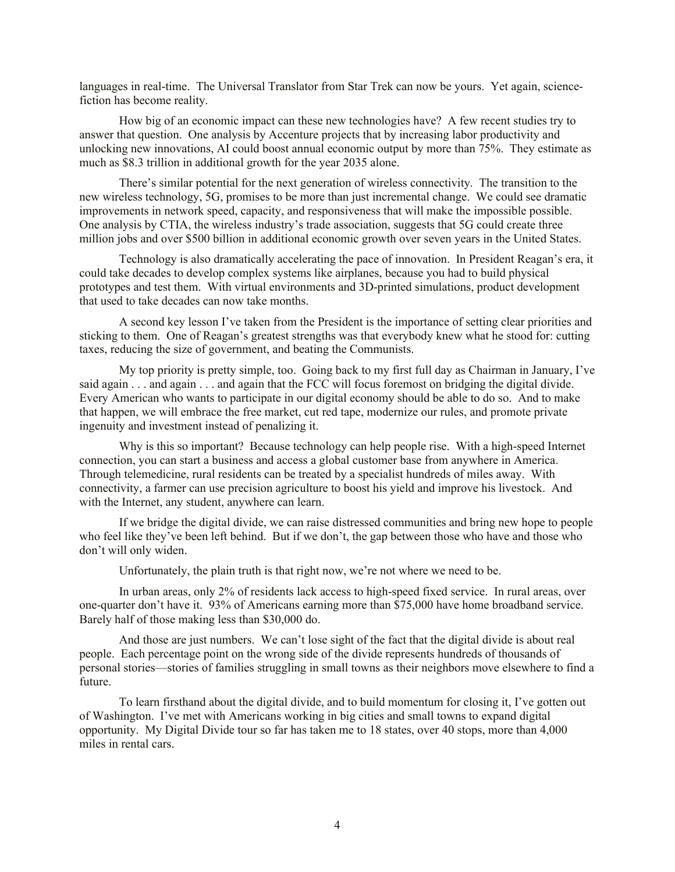languages in real-time. The Universal Translator from Star Trek can now be yours. Yet again, sciencefiction has become reality.

How big of an economic impact can these new technologies have? A few recent studies try to answer that question. One analysis by Accenture projects that by increasing labor productivity and unlocking new innovations, AI could boost annual economic output by more than 75%. They estimate as much as \$8.3 trillion in additional growth for the year 2035 alone.

There's similar potential for the next generation of wireless connectivity. The transition to the new wireless technology, 5G, promises to be more than just incremental change. We could see dramatic improvements in network speed, capacity, and responsiveness that will make the impossible possible. One analysis by CTIA, the wireless industry's trade association, suggests that 5G could create three million jobs and over \$500 billion in additional economic growth over seven years in the United States.

Technology is also dramatically accelerating the pace of innovation. In President Reagan's era, it could take decades to develop complex systems like airplanes, because you had to build physical prototypes and test them. With virtual environments and 3D-printed simulations, product development that used to take decades can now take months.

A second key lesson I've taken from the President is the importance of setting clear priorities and sticking to them. One of Reagan's greatest strengths was that everybody knew what he stood for: cutting taxes, reducing the size of government, and beating the Communists.

My top priority is pretty simple, too. Going back to my first full day as Chairman in January, I've said again . . . and again . . . and again that the FCC will focus foremost on bridging the digital divide. Every American who wants to participate in our digital economy should be able to do so. And to make that happen, we will embrace the free market, cut red tape, modernize our rules, and promote private ingenuity and investment instead of penalizing it.

Why is this so important? Because technology can help people rise. With a high-speed Internet connection, you can start a business and access a global customer base from anywhere in America. Through telemedicine, rural residents can be treated by a specialist hundreds of miles away. With connectivity, a farmer can use precision agriculture to boost his yield and improve his livestock. And with the Internet, any student, anywhere can learn.

If we bridge the digital divide, we can raise distressed communities and bring new hope to people who feel like they've been left behind. But if we don't, the gap between those who have and those who don't will only widen.

Unfortunately, the plain truth is that right now, we're not where we need to be.

In urban areas, only 2% of residents lack access to high-speed fixed service. In rural areas, over one-quarter don't have it. 93% of Americans earning more than \$75,000 have home broadband service. Barely half of those making less than \$30,000 do.

And those are just numbers. We can't lose sight of the fact that the digital divide is about real people. Each percentage point on the wrong side of the divide represents hundreds of thousands of personal stories—stories of families struggling in small towns as their neighbors move elsewhere to find a future.

To learn firsthand about the digital divide, and to build momentum for closing it, I've gotten out of Washington. I've met with Americans working in big cities and small towns to expand digital opportunity. My Digital Divide tour so far has taken me to 18 states, over 40 stops, more than 4,000 miles in rental cars.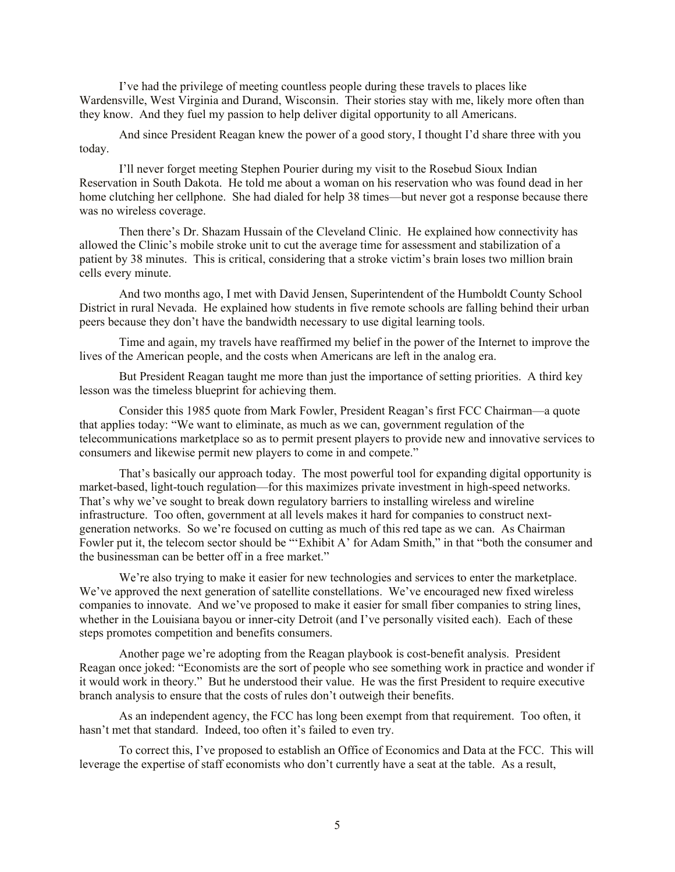I've had the privilege of meeting countless people during these travels to places like Wardensville, West Virginia and Durand, Wisconsin. Their stories stay with me, likely more often than they know. And they fuel my passion to help deliver digital opportunity to all Americans.

And since President Reagan knew the power of a good story, I thought I'd share three with you today.

I'll never forget meeting Stephen Pourier during my visit to the Rosebud Sioux Indian Reservation in South Dakota. He told me about a woman on his reservation who was found dead in her home clutching her cellphone. She had dialed for help 38 times—but never got a response because there was no wireless coverage.

Then there's Dr. Shazam Hussain of the Cleveland Clinic. He explained how connectivity has allowed the Clinic's mobile stroke unit to cut the average time for assessment and stabilization of a patient by 38 minutes. This is critical, considering that a stroke victim's brain loses two million brain cells every minute.

And two months ago, I met with David Jensen, Superintendent of the Humboldt County School District in rural Nevada. He explained how students in five remote schools are falling behind their urban peers because they don't have the bandwidth necessary to use digital learning tools.

Time and again, my travels have reaffirmed my belief in the power of the Internet to improve the lives of the American people, and the costs when Americans are left in the analog era.

But President Reagan taught me more than just the importance of setting priorities. A third key lesson was the timeless blueprint for achieving them.

Consider this 1985 quote from Mark Fowler, President Reagan's first FCC Chairman—a quote that applies today: "We want to eliminate, as much as we can, government regulation of the telecommunications marketplace so as to permit present players to provide new and innovative services to consumers and likewise permit new players to come in and compete."

That's basically our approach today. The most powerful tool for expanding digital opportunity is market-based, light-touch regulation—for this maximizes private investment in high-speed networks. That's why we've sought to break down regulatory barriers to installing wireless and wireline infrastructure. Too often, government at all levels makes it hard for companies to construct nextgeneration networks. So we're focused on cutting as much of this red tape as we can. As Chairman Fowler put it, the telecom sector should be "'Exhibit A' for Adam Smith," in that "both the consumer and the businessman can be better off in a free market."

We're also trying to make it easier for new technologies and services to enter the marketplace. We've approved the next generation of satellite constellations. We've encouraged new fixed wireless companies to innovate. And we've proposed to make it easier for small fiber companies to string lines, whether in the Louisiana bayou or inner-city Detroit (and I've personally visited each). Each of these steps promotes competition and benefits consumers.

Another page we're adopting from the Reagan playbook is cost-benefit analysis. President Reagan once joked: "Economists are the sort of people who see something work in practice and wonder if it would work in theory." But he understood their value. He was the first President to require executive branch analysis to ensure that the costs of rules don't outweigh their benefits.

As an independent agency, the FCC has long been exempt from that requirement. Too often, it hasn't met that standard. Indeed, too often it's failed to even try.

To correct this, I've proposed to establish an Office of Economics and Data at the FCC. This will leverage the expertise of staff economists who don't currently have a seat at the table. As a result,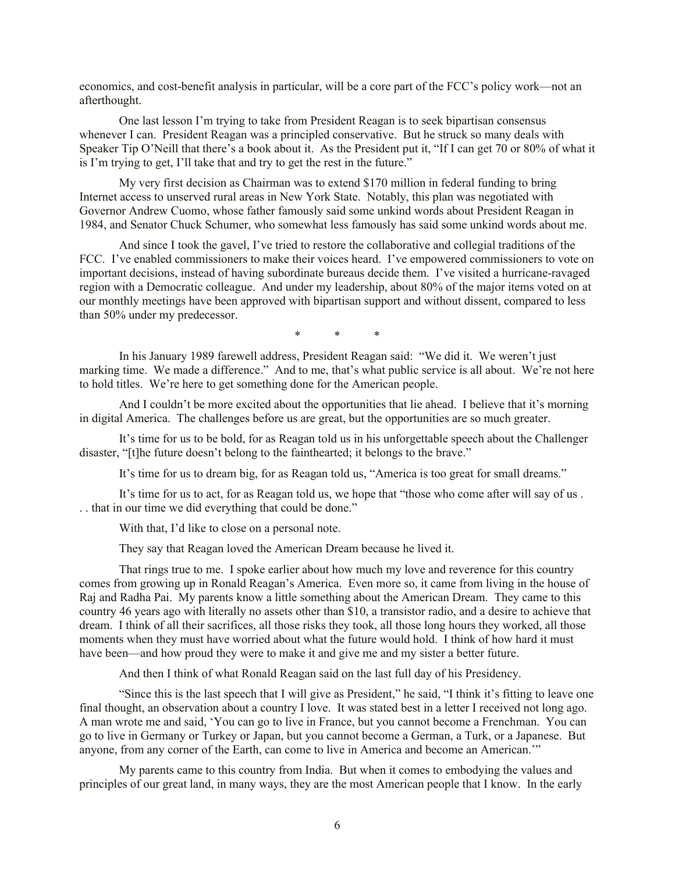economics, and cost-benefit analysis in particular, will be a core part of the FCC's policy work—not an afterthought.

One last lesson I'm trying to take from President Reagan is to seek bipartisan consensus whenever I can. President Reagan was a principled conservative. But he struck so many deals with Speaker Tip O'Neill that there's a book about it. As the President put it, "If I can get 70 or 80% of what it is I'm trying to get, I'll take that and try to get the rest in the future."

My very first decision as Chairman was to extend \$170 million in federal funding to bring Internet access to unserved rural areas in New York State. Notably, this plan was negotiated with Governor Andrew Cuomo, whose father famously said some unkind words about President Reagan in 1984, and Senator Chuck Schumer, who somewhat less famously has said some unkind words about me.

And since I took the gavel, I've tried to restore the collaborative and collegial traditions of the FCC. I've enabled commissioners to make their voices heard. I've empowered commissioners to vote on important decisions, instead of having subordinate bureaus decide them. I've visited a hurricane-ravaged region with a Democratic colleague. And under my leadership, about 80% of the major items voted on at our monthly meetings have been approved with bipartisan support and without dissent, compared to less than 50% under my predecessor.

\* \* \*

In his January 1989 farewell address, President Reagan said: "We did it. We weren't just marking time. We made a difference." And to me, that's what public service is all about. We're not here to hold titles. We're here to get something done for the American people.

And I couldn't be more excited about the opportunities that lie ahead. I believe that it's morning in digital America. The challenges before us are great, but the opportunities are so much greater.

It's time for us to be bold, for as Reagan told us in his unforgettable speech about the Challenger disaster, "[t]he future doesn't belong to the fainthearted; it belongs to the brave."

It's time for us to dream big, for as Reagan told us, "America is too great for small dreams."

It's time for us to act, for as Reagan told us, we hope that "those who come after will say of us . . . that in our time we did everything that could be done."

With that, I'd like to close on a personal note.

They say that Reagan loved the American Dream because he lived it.

That rings true to me. I spoke earlier about how much my love and reverence for this country comes from growing up in Ronald Reagan's America. Even more so, it came from living in the house of Raj and Radha Pai. My parents know a little something about the American Dream. They came to this country 46 years ago with literally no assets other than \$10, a transistor radio, and a desire to achieve that dream. I think of all their sacrifices, all those risks they took, all those long hours they worked, all those moments when they must have worried about what the future would hold. I think of how hard it must have been—and how proud they were to make it and give me and my sister a better future.

And then I think of what Ronald Reagan said on the last full day of his Presidency.

"Since this is the last speech that I will give as President," he said, "I think it's fitting to leave one final thought, an observation about a country I love. It was stated best in a letter I received not long ago. A man wrote me and said, 'You can go to live in France, but you cannot become a Frenchman. You can go to live in Germany or Turkey or Japan, but you cannot become a German, a Turk, or a Japanese. But anyone, from any corner of the Earth, can come to live in America and become an American.'"

My parents came to this country from India. But when it comes to embodying the values and principles of our great land, in many ways, they are the most American people that I know. In the early